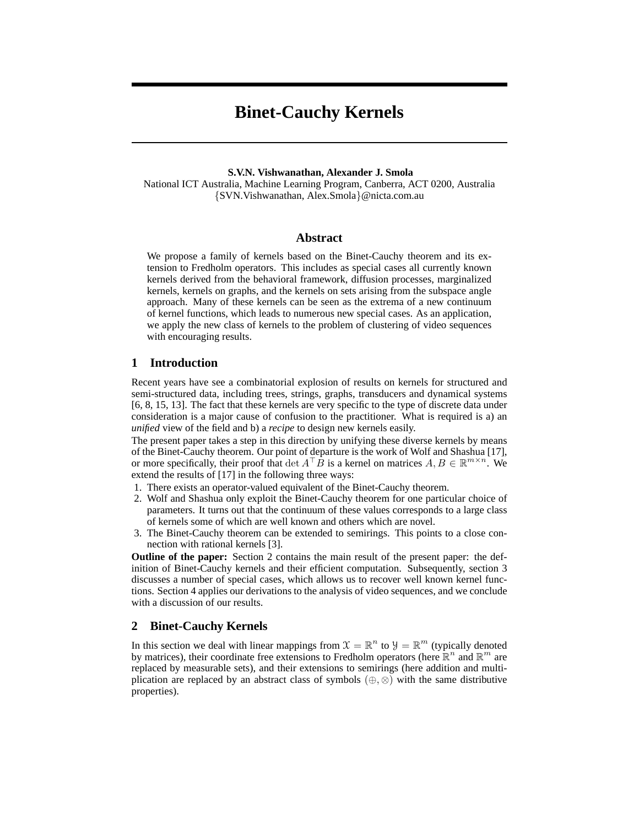# **Binet-Cauchy Kernels**

#### **S.V.N. Vishwanathan, Alexander J. Smola**

National ICT Australia, Machine Learning Program, Canberra, ACT 0200, Australia {SVN.Vishwanathan, Alex.Smola}@nicta.com.au

# **Abstract**

We propose a family of kernels based on the Binet-Cauchy theorem and its extension to Fredholm operators. This includes as special cases all currently known kernels derived from the behavioral framework, diffusion processes, marginalized kernels, kernels on graphs, and the kernels on sets arising from the subspace angle approach. Many of these kernels can be seen as the extrema of a new continuum of kernel functions, which leads to numerous new special cases. As an application, we apply the new class of kernels to the problem of clustering of video sequences with encouraging results.

## **1 Introduction**

Recent years have see a combinatorial explosion of results on kernels for structured and semi-structured data, including trees, strings, graphs, transducers and dynamical systems [6, 8, 15, 13]. The fact that these kernels are very specific to the type of discrete data under consideration is a major cause of confusion to the practitioner. What is required is a) an *unified* view of the field and b) a *recipe* to design new kernels easily.

The present paper takes a step in this direction by unifying these diverse kernels by means of the Binet-Cauchy theorem. Our point of departure is the work of Wolf and Shashua [17], or more specifically, their proof that det  $A<sup>T</sup>B$  is a kernel on matrices  $A, B \in \mathbb{R}^{m \times n}$ . We extend the results of [17] in the following three ways:

- 1. There exists an operator-valued equivalent of the Binet-Cauchy theorem.
- 2. Wolf and Shashua only exploit the Binet-Cauchy theorem for one particular choice of parameters. It turns out that the continuum of these values corresponds to a large class of kernels some of which are well known and others which are novel.
- 3. The Binet-Cauchy theorem can be extended to semirings. This points to a close connection with rational kernels [3].

**Outline of the paper:** Section 2 contains the main result of the present paper: the definition of Binet-Cauchy kernels and their efficient computation. Subsequently, section 3 discusses a number of special cases, which allows us to recover well known kernel functions. Section 4 applies our derivations to the analysis of video sequences, and we conclude with a discussion of our results.

## **2 Binet-Cauchy Kernels**

In this section we deal with linear mappings from  $\mathcal{X} = \mathbb{R}^n$  to  $\mathcal{Y} = \mathbb{R}^m$  (typically denoted by matrices), their coordinate free extensions to Fredholm operators (here  $\mathbb{R}^n$  and  $\mathbb{R}^m$  are replaced by measurable sets), and their extensions to semirings (here addition and multiplication are replaced by an abstract class of symbols  $(\oplus, \otimes)$  with the same distributive properties).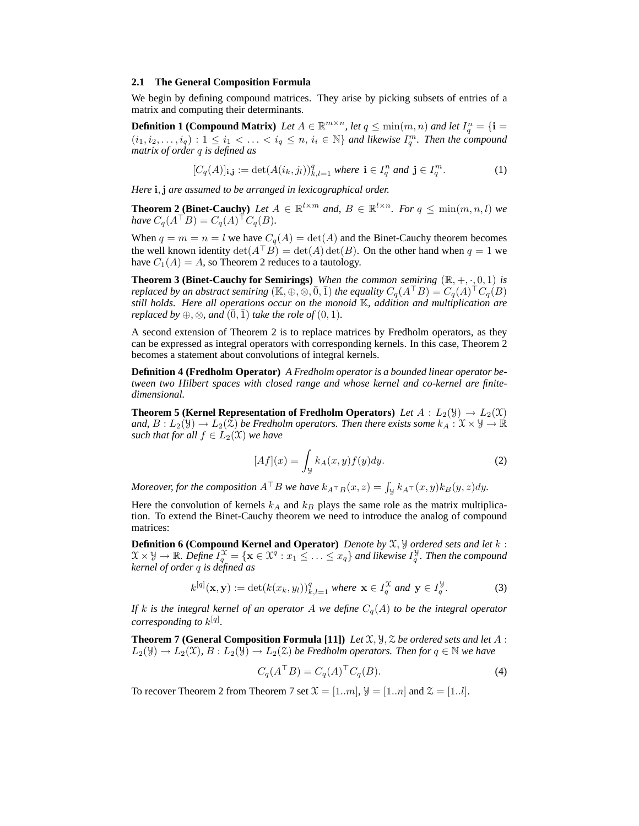#### **2.1 The General Composition Formula**

We begin by defining compound matrices. They arise by picking subsets of entries of a matrix and computing their determinants.

**Definition 1 (Compound Matrix)** Let  $A \in \mathbb{R}^{m \times n}$ , let  $q \leq \min(m, n)$  and let  $I_q^n = \{ \mathbf{i} =$  $(i_1,i_2,\ldots,i_q): 1 \leq i_1 < \ldots < i_q \leq n, i_i \in \mathbb{N} \}$  and likewise  $I_q^m$ . Then the compound *matrix of order* q *is defined as*

$$
[C_q(A)]_{\mathbf{i},\mathbf{j}} := \det(A(i_k, j_l))_{k,l=1}^q \text{ where } \mathbf{i} \in I_q^n \text{ and } \mathbf{j} \in I_q^m. \tag{1}
$$

*Here* i,j *are assumed to be arranged in lexicographical order.*

**Theorem 2 (Binet-Cauchy)** Let  $A \in \mathbb{R}^{l \times m}$  and,  $B \in \mathbb{R}^{l \times n}$ . For  $q \leq \min(m, n, l)$  we  $have C_q(A^{\top}B) = C_q(A)^{\top}C_q(B).$ 

When  $q = m = n = l$  we have  $C_q(A) = \det(A)$  and the Binet-Cauchy theorem becomes the well known identity  $\det(A^{\top}B) = \det(A) \det(B)$ . On the other hand when  $q = 1$  we have  $C_1(A) = A$ , so Theorem 2 reduces to a tautology.

**Theorem 3 (Binet-Cauchy for Semirings)** *When the common semiring*  $(\mathbb{R}, +, \cdot, 0, 1)$  *is replaced by an abstract semiring*  $(K, \oplus, \otimes, \overline{0}, \overline{1})$  *the equality*  $C_q(A^{\top}B) = C_q(A)^{\top}C_q(B)$ *still holds. Here all operations occur on the monoid* K*, addition and multiplication are replaced by*  $\oplus$ ,  $\otimes$ *, and*  $(\overline{0}, \overline{1})$  *take the role of*  $(0, 1)$ *.* 

A second extension of Theorem 2 is to replace matrices by Fredholm operators, as they can be expressed as integral operators with corresponding kernels. In this case, Theorem 2 becomes a statement about convolutions of integral kernels.

**Definition 4 (Fredholm Operator)** *A Fredholm operator is a bounded linear operator between two Hilbert spaces with closed range and whose kernel and co-kernel are finitedimensional.*

**Theorem 5 (Kernel Representation of Fredholm Operators)** *Let*  $A: L_2(\mathcal{Y}) \to L_2(\mathcal{X})$ *and,*  $B: L_2(\mathcal{Y}) \to L_2(\mathcal{Z})$  *be Fredholm operators. Then there exists some*  $k_A: \mathcal{X} \times \mathcal{Y} \to \mathbb{R}$ *such that for all*  $f \in L_2(\mathfrak{X})$  *we have* 

$$
[Af](x) = \int_{\mathcal{Y}} k_A(x, y) f(y) dy.
$$
 (2)

*Moreover, for the composition*  $A^{\top}B$  *we have*  $k_{A^{\top}B}(x, z) = \int_{\mathcal{Y}} k_{A^{\top}}(x, y)k_{B}(y, z)dy$ .

Here the convolution of kernels  $k_A$  and  $k_B$  plays the same role as the matrix multiplication. To extend the Binet-Cauchy theorem we need to introduce the analog of compound matrices:

**Definition 6 (Compound Kernel and Operator)** *Denote by* X, Y *ordered sets and let* k :  $\mathfrak{X}\times \mathcal{Y}\to \mathbb{R}$ . Define  $I_q^{\mathfrak{X}}=\{{\bf x}\in \mathfrak{X}^q:x_1\leq \ldots \leq x_q\}$  and likewise  $I_q^{\mathcal{Y}}$ . Then the compound *kernel of order* q *is defined as*

$$
k^{[q]}(\mathbf{x}, \mathbf{y}) := \det(k(x_k, y_l))_{k,l=1}^q \text{ where } \mathbf{x} \in I_q^{\mathcal{X}} \text{ and } \mathbf{y} \in I_q^{\mathcal{Y}}.
$$
 (3)

*If* k is the integral kernel of an operator A we define  $C_q(A)$  to be the integral operator *corresponding to* k [q] *.*

**Theorem 7 (General Composition Formula [11])** *Let*  $\mathfrak{X}, \mathfrak{Y}, \mathfrak{Z}$  *be ordered sets and let*  $A$ :  $L_2(\mathfrak{Y}) \to L_2(\mathfrak{X}), B: L_2(\mathfrak{Y}) \to L_2(\mathfrak{X})$  *be Fredholm operators. Then for*  $q \in \mathbb{N}$  *we have* 

$$
C_q(A^{\top}B) = C_q(A)^{\top} C_q(B). \tag{4}
$$

To recover Theorem 2 from Theorem 7 set  $\mathfrak{X} = [1..m], \mathfrak{Y} = [1..n]$  and  $\mathfrak{Z} = [1..l].$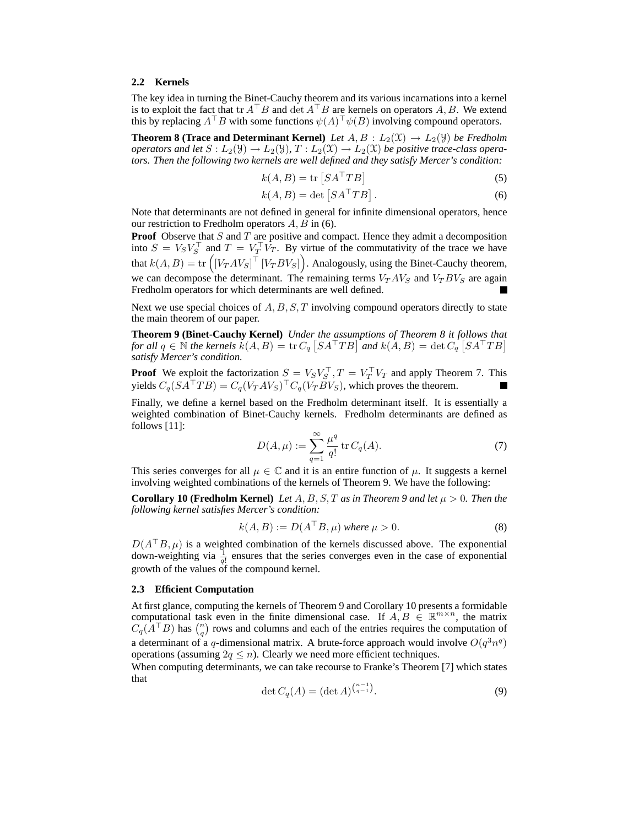#### **2.2 Kernels**

The key idea in turning the Binet-Cauchy theorem and its various incarnations into a kernel is to exploit the fact that tr  $A<sup>T</sup>B$  and det  $A<sup>T</sup>B$  are kernels on operators A, B. We extend this by replacing  $A^{\top}B$  with some functions  $\psi(A)^{\top}\psi(B)$  involving compound operators.

**Theorem 8 (Trace and Determinant Kernel)** *Let*  $A, B : L_2(\mathfrak{X}) \rightarrow L_2(\mathfrak{Y})$  *be Fredholm operators and let*  $S: L_2(\mathcal{Y}) \to L_2(\mathcal{Y}), T: L_2(\mathcal{X}) \to L_2(\mathcal{X})$  *be positive trace-class operators. Then the following two kernels are well defined and they satisfy Mercer's condition:*

$$
k(A, B) = \text{tr}\left[SA^{\top}TB\right]
$$
 (5)

$$
k(A, B) = \det \left[ SA^\top T B \right]. \tag{6}
$$

Note that determinants are not defined in general for infinite dimensional operators, hence our restriction to Fredholm operators  $A, B$  in (6).

**Proof** Observe that S and T are positive and compact. Hence they admit a decomposition into  $S = V_S V_S^\top$  and  $T = V_T^\top V_T$ . By virtue of the commutativity of the trace we have that  $k(A, B) = \text{tr}\left( \left[ V_T A V_S \right]^\top \left[ V_T B V_S \right] \right)$ . Analogously, using the Binet-Cauchy theorem, we can decompose the determinant. The remaining terms  $V_T A V_S$  and  $V_T B V_S$  are again Fredholm operators for which determinants are well defined.

Next we use special choices of  $A, B, S, T$  involving compound operators directly to state the main theorem of our paper.

**Theorem 9 (Binet-Cauchy Kernel)** *Under the assumptions of Theorem 8 it follows that for all*  $q \in \mathbb{N}$  *the kernels*  $\tilde{k}(A, B) = \text{tr } C_q \left[ SA^\top TB \right]$  *and*  $k(A, B) = \text{det } C_q \left[ SA^\top TB \right]$ *satisfy Mercer's condition.*

**Proof** We exploit the factorization  $S = V_S V_S^\top$ ,  $T = V_T^\top V_T$  and apply Theorem 7. This yields  $C_q(SA^{\top}TB) = C_q(V_TAV_S)^{\top}C_q(V_TBV_S)$ , which proves the theorem.

Finally, we define a kernel based on the Fredholm determinant itself. It is essentially a weighted combination of Binet-Cauchy kernels. Fredholm determinants are defined as follows [11]:

$$
D(A, \mu) := \sum_{q=1}^{\infty} \frac{\mu^q}{q!} \operatorname{tr} C_q(A). \tag{7}
$$

This series converges for all  $\mu \in \mathbb{C}$  and it is an entire function of  $\mu$ . It suggests a kernel involving weighted combinations of the kernels of Theorem 9. We have the following:

**Corollary 10 (Fredholm Kernel)** Let  $A, B, S, T$  as in Theorem 9 and let  $\mu > 0$ . Then the *following kernel satisfies Mercer's condition:*

$$
k(A, B) := D(ATB, \mu) \text{ where } \mu > 0.
$$
 (8)

 $D(A^{\top}B,\mu)$  is a weighted combination of the kernels discussed above. The exponential down-weighting via  $\frac{1}{q!}$  ensures that the series converges even in the case of exponential growth of the values of the compound kernel.

#### **2.3 Efficient Computation**

At first glance, computing the kernels of Theorem 9 and Corollary 10 presents a formidable computational task even in the finite dimensional case. If  $A, B \in \mathbb{R}^{m \times n}$ , the matrix  $C_q(A^{\top}B)$  has  $\binom{n}{q}$  rows and columns and each of the entries requires the computation of a determinant of a q-dimensional matrix. A brute-force approach would involve  $O(q^3n^q)$ operations (assuming  $2q \leq n$ ). Clearly we need more efficient techniques.

When computing determinants, we can take recourse to Franke's Theorem [7] which states that

$$
\det C_q(A) = (\det A)^{\binom{n-1}{q-1}}.
$$
\n(9)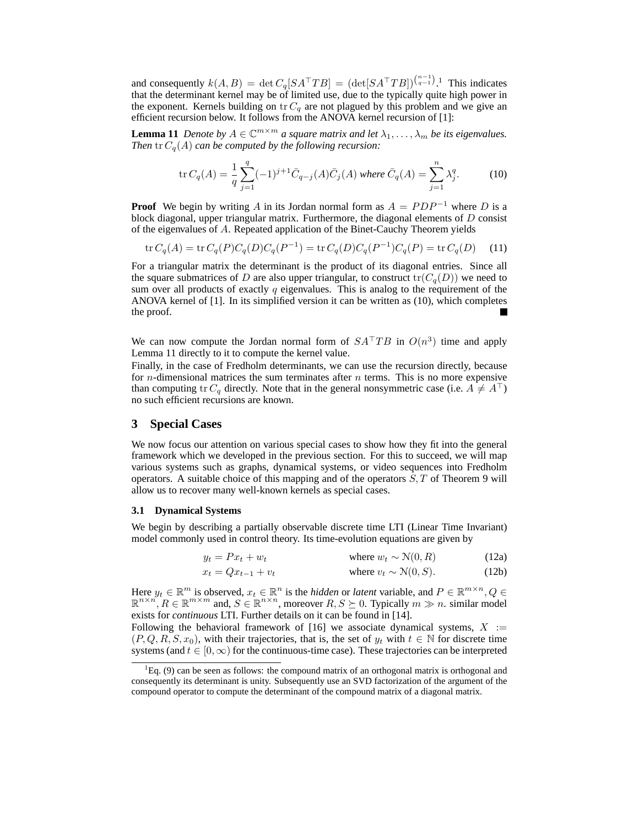and consequently  $k(A, B) = \det C_q [S A^{\top} T B] = (\det [S A^{\top} T B])^{(\frac{n-1}{q-1})}$ .<sup>1</sup> This indicates that the determinant kernel may be of limited use, due to the typically quite high power in the exponent. Kernels building on  $\text{tr } C_q$  are not plagued by this problem and we give an efficient recursion below. It follows from the ANOVA kernel recursion of [1]:

**Lemma 11** *Denote by*  $A \in \mathbb{C}^{m \times m}$  *a square matrix and let*  $\lambda_1, \ldots, \lambda_m$  *be its eigenvalues. Then* tr Cq(A) *can be computed by the following recursion:*

$$
\text{tr}\,C_q(A) = \frac{1}{q} \sum_{j=1}^q (-1)^{j+1} \bar{C}_{q-j}(A) \bar{C}_j(A) \text{ where } \bar{C}_q(A) = \sum_{j=1}^n \lambda_j^q. \tag{10}
$$

**Proof** We begin by writing A in its Jordan normal form as  $A = PDP^{-1}$  where D is a block diagonal, upper triangular matrix. Furthermore, the diagonal elements of  $D$  consist of the eigenvalues of A. Repeated application of the Binet-Cauchy Theorem yields

$$
\operatorname{tr} C_q(A) = \operatorname{tr} C_q(P) C_q(D) C_q(P^{-1}) = \operatorname{tr} C_q(D) C_q(P^{-1}) C_q(P) = \operatorname{tr} C_q(D) \tag{11}
$$

For a triangular matrix the determinant is the product of its diagonal entries. Since all the square submatrices of D are also upper triangular, to construct  $tr(C<sub>q</sub>(D))$  we need to sum over all products of exactly  $q$  eigenvalues. This is analog to the requirement of the ANOVA kernel of [1]. In its simplified version it can be written as (10), which completes the proof.

We can now compute the Jordan normal form of  $SA<sup>T</sup>TB$  in  $O(n<sup>3</sup>)$  time and apply Lemma 11 directly to it to compute the kernel value.

Finally, in the case of Fredholm determinants, we can use the recursion directly, because for *n*-dimensional matrices the sum terminates after *n* terms. This is no more expensive than computing tr  $C_q$  directly. Note that in the general nonsymmetric case (i.e.  $A \neq A^{\top}$ ) no such efficient recursions are known.

# **3 Special Cases**

We now focus our attention on various special cases to show how they fit into the general framework which we developed in the previous section. For this to succeed, we will map various systems such as graphs, dynamical systems, or video sequences into Fredholm operators. A suitable choice of this mapping and of the operators  $S, T$  of Theorem 9 will allow us to recover many well-known kernels as special cases.

#### **3.1 Dynamical Systems**

We begin by describing a partially observable discrete time LTI (Linear Time Invariant) model commonly used in control theory. Its time-evolution equations are given by

$$
y_t = Px_t + w_t \qquad \qquad \text{where } w_t \sim \mathcal{N}(0, R) \tag{12a}
$$

$$
x_t = Qx_{t-1} + v_t \qquad \text{where } v_t \sim \mathcal{N}(0, S). \tag{12b}
$$

Here  $y_t \in \mathbb{R}^m$  is observed,  $x_t \in \mathbb{R}^n$  is the *hidden* or *latent* variable, and  $P \in \mathbb{R}^{m \times n}$ ,  $Q \in$  $\mathbb{R}^{n \times n}$ ,  $R \in \mathbb{R}^{m \times m}$  and,  $S \in \mathbb{R}^{n \times n}$ , moreover  $R, S \succeq 0$ . Typically  $m \gg n$ . similar model exists for *continuous* LTI. Further details on it can be found in [14].

Following the behavioral framework of [16] we associate dynamical systems,  $X :=$  $(P,Q,R,S,x_0)$ , with their trajectories, that is, the set of  $y_t$  with  $t \in \mathbb{N}$  for discrete time systems (and  $t \in [0,\infty)$  for the continuous-time case). These trajectories can be interpreted

<sup>&</sup>lt;sup>1</sup>Eq. (9) can be seen as follows: the compound matrix of an orthogonal matrix is orthogonal and consequently its determinant is unity. Subsequently use an SVD factorization of the argument of the compound operator to compute the determinant of the compound matrix of a diagonal matrix.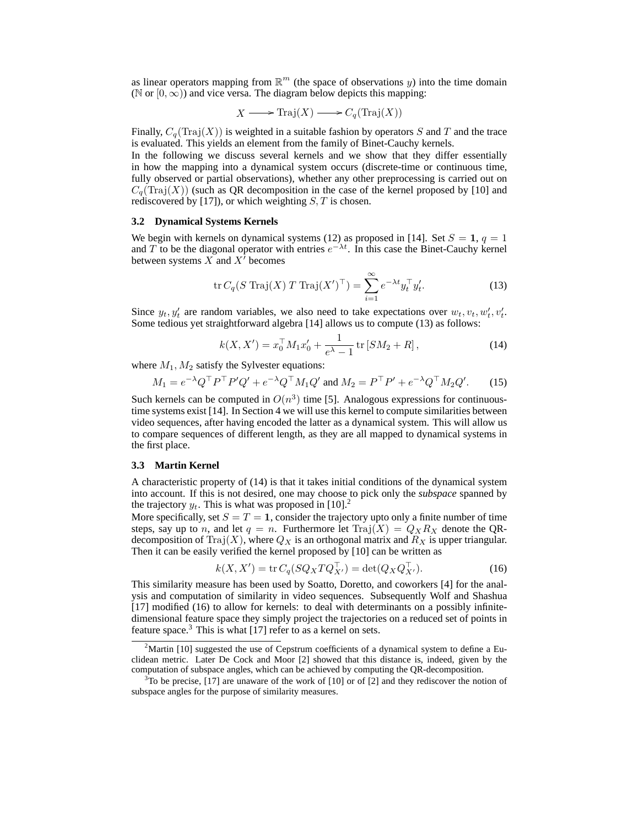as linear operators mapping from  $\mathbb{R}^m$  (the space of observations y) into the time domain ( $\mathbb N$  or  $[0,\infty)$ ) and vice versa. The diagram below depicts this mapping:

$$
X \longrightarrow \text{Traj}(X) \longrightarrow C_q(\text{Traj}(X))
$$

Finally,  $C_q(\text{Traj}(X))$  is weighted in a suitable fashion by operators S and T and the trace is evaluated. This yields an element from the family of Binet-Cauchy kernels.

In the following we discuss several kernels and we show that they differ essentially in how the mapping into a dynamical system occurs (discrete-time or continuous time, fully observed or partial observations), whether any other preprocessing is carried out on  $C_q(\text{Traj}(X))$  (such as QR decomposition in the case of the kernel proposed by [10] and rediscovered by [17]), or which weighting  $S, T$  is chosen.

## **3.2 Dynamical Systems Kernels**

We begin with kernels on dynamical systems (12) as proposed in [14]. Set  $S = 1$ ,  $q = 1$ and T to be the diagonal operator with entries  $e^{-\lambda t}$ . In this case the Binet-Cauchy kernel between systems  $X$  and  $X'$  becomes

$$
\operatorname{tr} C_q(S \operatorname{Traj}(X) T \operatorname{Traj}(X')^\top) = \sum_{i=1}^{\infty} e^{-\lambda t} y_i^\top y_i'.\tag{13}
$$

Since  $y_t, y'_t$  are random variables, we also need to take expectations over  $w_t, v_t, w'_t, v'_t$ . Some tedious yet straightforward algebra [14] allows us to compute (13) as follows:

$$
k(X, X') = x_0^{\top} M_1 x'_0 + \frac{1}{e^{\lambda} - 1} \operatorname{tr} [SM_2 + R], \qquad (14)
$$

where  $M_1, M_2$  satisfy the Sylvester equations:

$$
M_1 = e^{-\lambda} Q^{\top} P^{\top} P' Q' + e^{-\lambda} Q^{\top} M_1 Q' \text{ and } M_2 = P^{\top} P' + e^{-\lambda} Q^{\top} M_2 Q'. \tag{15}
$$

Such kernels can be computed in  $O(n^3)$  time [5]. Analogous expressions for continuoustime systems exist [14]. In Section 4 we will use this kernel to compute similarities between video sequences, after having encoded the latter as a dynamical system. This will allow us to compare sequences of different length, as they are all mapped to dynamical systems in the first place.

## **3.3 Martin Kernel**

A characteristic property of (14) is that it takes initial conditions of the dynamical system into account. If this is not desired, one may choose to pick only the *subspace* spanned by the trajectory  $y_t$ . This is what was proposed in [10].<sup>2</sup>

More specifically, set  $S = T = 1$ , consider the trajectory upto only a finite number of time steps, say up to n, and let  $q = n$ . Furthermore let  $\text{Traj}(X) = Q_X R_X$  denote the QRdecomposition of Traj $(X)$ , where  $Q_X$  is an orthogonal matrix and  $R_X$  is upper triangular. Then it can be easily verified the kernel proposed by [10] can be written as

$$
k(X, X') = \text{tr}\, C_q(SQ_X T Q_{X'}^\top) = \text{det}(Q_X Q_{X'}^\top). \tag{16}
$$

This similarity measure has been used by Soatto, Doretto, and coworkers [4] for the analysis and computation of similarity in video sequences. Subsequently Wolf and Shashua [17] modified (16) to allow for kernels: to deal with determinants on a possibly infinitedimensional feature space they simply project the trajectories on a reduced set of points in feature space.<sup>3</sup> This is what  $[17]$  refer to as a kernel on sets.

<sup>&</sup>lt;sup>2</sup>Martin [10] suggested the use of Cepstrum coefficients of a dynamical system to define a Euclidean metric. Later De Cock and Moor [2] showed that this distance is, indeed, given by the computation of subspace angles, which can be achieved by computing the QR-decomposition.

 $3$ To be precise, [17] are unaware of the work of [10] or of [2] and they rediscover the notion of subspace angles for the purpose of similarity measures.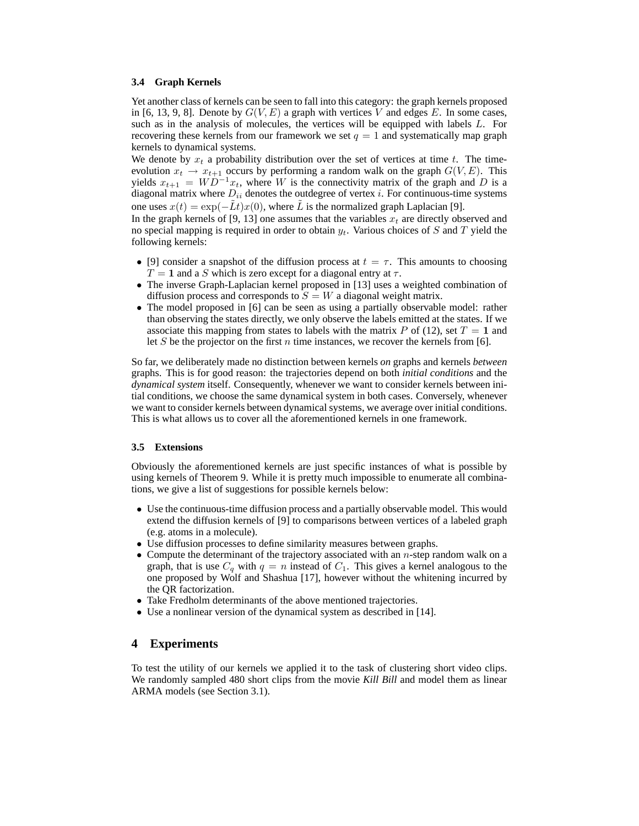#### **3.4 Graph Kernels**

Yet another class of kernels can be seen to fall into this category: the graph kernels proposed in [6, 13, 9, 8]. Denote by  $G(V, E)$  a graph with vertices V and edges E. In some cases, such as in the analysis of molecules, the vertices will be equipped with labels L. For recovering these kernels from our framework we set  $q = 1$  and systematically map graph kernels to dynamical systems.

We denote by  $x_t$  a probability distribution over the set of vertices at time t. The timeevolution  $x_t \to x_{t+1}$  occurs by performing a random walk on the graph  $G(V, E)$ . This yields  $x_{t+1} = W D^{-1}x_t$ , where W is the connectivity matrix of the graph and D is a diagonal matrix where  $D_{ii}$  denotes the outdegree of vertex i. For continuous-time systems one uses  $x(t) = \exp(-\tilde{L}t)x(0)$ , where  $\tilde{L}$  is the normalized graph Laplacian [9].

In the graph kernels of [9, 13] one assumes that the variables  $x_t$  are directly observed and no special mapping is required in order to obtain  $y_t$ . Various choices of S and T yield the following kernels:

- [9] consider a snapshot of the diffusion process at  $t = \tau$ . This amounts to choosing  $T = 1$  and a S which is zero except for a diagonal entry at  $\tau$ .
- The inverse Graph-Laplacian kernel proposed in [13] uses a weighted combination of diffusion process and corresponds to  $S = W$  a diagonal weight matrix.
- The model proposed in [6] can be seen as using a partially observable model: rather than observing the states directly, we only observe the labels emitted at the states. If we associate this mapping from states to labels with the matrix P of (12), set  $T = 1$  and let S be the projector on the first n time instances, we recover the kernels from [6].

So far, we deliberately made no distinction between kernels *on* graphs and kernels *between* graphs. This is for good reason: the trajectories depend on both *initial conditions* and the *dynamical system* itself. Consequently, whenever we want to consider kernels between initial conditions, we choose the same dynamical system in both cases. Conversely, whenever we want to consider kernels between dynamical systems, we average over initial conditions. This is what allows us to cover all the aforementioned kernels in one framework.

## **3.5 Extensions**

Obviously the aforementioned kernels are just specific instances of what is possible by using kernels of Theorem 9. While it is pretty much impossible to enumerate all combinations, we give a list of suggestions for possible kernels below:

- Use the continuous-time diffusion process and a partially observable model. This would extend the diffusion kernels of [9] to comparisons between vertices of a labeled graph (e.g. atoms in a molecule).
- Use diffusion processes to define similarity measures between graphs.
- Compute the determinant of the trajectory associated with an  $n$ -step random walk on a graph, that is use  $C_q$  with  $q = n$  instead of  $C_1$ . This gives a kernel analogous to the one proposed by Wolf and Shashua [17], however without the whitening incurred by the QR factorization.
- Take Fredholm determinants of the above mentioned trajectories.
- Use a nonlinear version of the dynamical system as described in [14].

# **4 Experiments**

To test the utility of our kernels we applied it to the task of clustering short video clips. We randomly sampled 480 short clips from the movie *Kill Bill* and model them as linear ARMA models (see Section 3.1).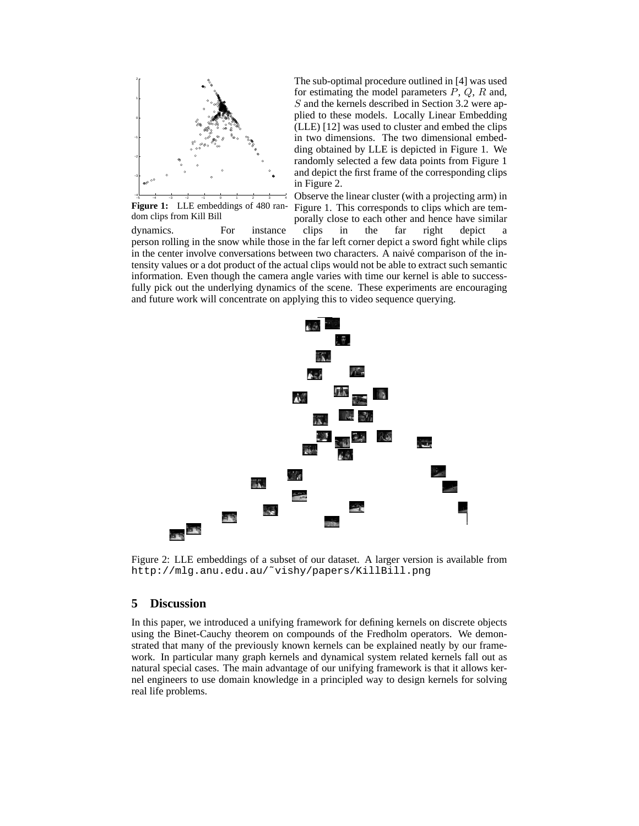

The sub-optimal procedure outlined in [4] was used for estimating the model parameters  $P$ ,  $Q$ ,  $R$  and, S and the kernels described in Section 3.2 were applied to these models. Locally Linear Embedding (LLE) [12] was used to cluster and embed the clips in two dimensions. The two dimensional embedding obtained by LLE is depicted in Figure 1. We randomly selected a few data points from Figure 1 and depict the first frame of the corresponding clips in Figure 2.

Figure 1: LLE embeddings of 480 random clips from Kill Bill

Observe the linear cluster (with a projecting arm) in Figure 1. This corresponds to clips which are temporally close to each other and hence have similar

dynamics. For instance clips in the far right depict a person rolling in the snow while those in the far left corner depict a sword fight while clips in the center involve conversations between two characters. A naivé comparison of the intensity values or a dot product of the actual clips would not be able to extract such semantic information. Even though the camera angle varies with time our kernel is able to successfully pick out the underlying dynamics of the scene. These experiments are encouraging and future work will concentrate on applying this to video sequence querying.



Figure 2: LLE embeddings of a subset of our dataset. A larger version is available from http://mlg.anu.edu.au/˜vishy/papers/KillBill.png

# **5 Discussion**

In this paper, we introduced a unifying framework for defining kernels on discrete objects using the Binet-Cauchy theorem on compounds of the Fredholm operators. We demonstrated that many of the previously known kernels can be explained neatly by our framework. In particular many graph kernels and dynamical system related kernels fall out as natural special cases. The main advantage of our unifying framework is that it allows kernel engineers to use domain knowledge in a principled way to design kernels for solving real life problems.